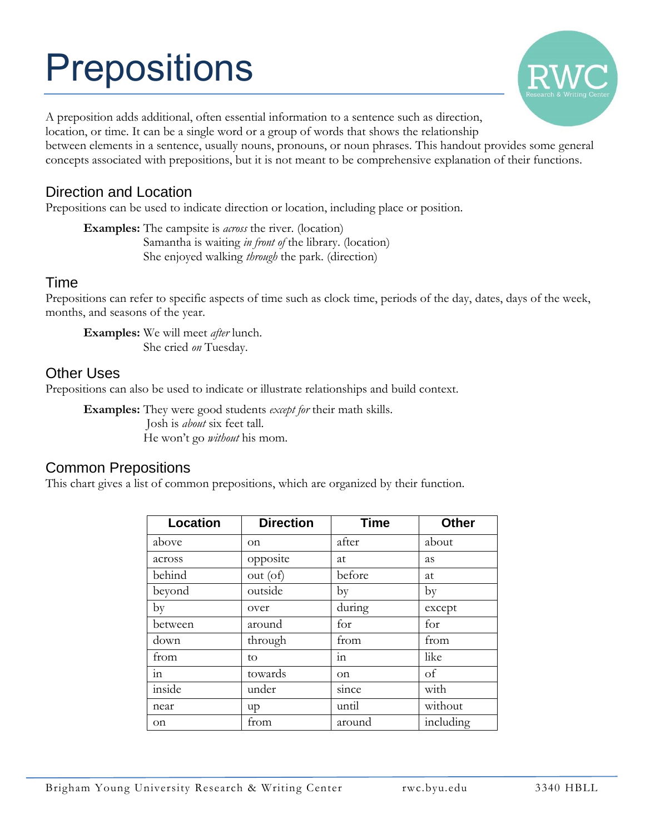# **Prepositions**



A preposition adds additional, often essential information to a sentence such as direction, location, or time. It can be a single word or a group of words that shows the relationship between elements in a sentence, usually nouns, pronouns, or noun phrases. This handout provides some general concepts associated with prepositions, but it is not meant to be comprehensive explanation of their functions.

## Direction and Location

Prepositions can be used to indicate direction or location, including place or position.

**Examples:** The campsite is *across* the river. (location) Samantha is waiting *in front of* the library. (location) She enjoyed walking *through* the park. (direction)

#### Time

Prepositions can refer to specific aspects of time such as clock time, periods of the day, dates, days of the week, months, and seasons of the year.

**Examples:** We will meet *after* lunch. She cried *on* Tuesday.

#### Other Uses

Prepositions can also be used to indicate or illustrate relationships and build context.

**Examples:** They were good students *except for* their math skills. Josh is *about* six feet tall. He won't go *without* his mom.

### Common Prepositions

This chart gives a list of common prepositions, which are organized by their function.

| <b>Location</b>        | <b>Direction</b> | <b>Time</b> | <b>Other</b> |
|------------------------|------------------|-------------|--------------|
| above                  | on               | after       | about        |
| across                 | opposite         | at          | as           |
| behind                 | out (of)         | before      | at           |
| beyond                 | outside          | by          | by           |
| by                     | over             | during      | except       |
| between                | around           | for         | for          |
| down                   | through          | from        | from         |
| from                   | to               | 111         | like         |
| $\overline{\text{in}}$ | towards          | on          | of           |
| inside                 | under            | since       | with         |
| near                   | up               | until       | without      |
| on                     | from             | around      | including    |